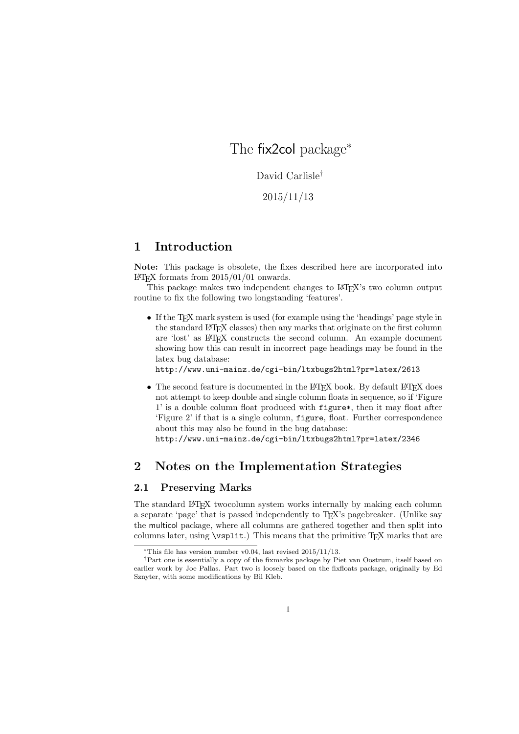# The fix2col package<sup>∗</sup>

David Carlisle†

2015/11/13

## 1 Introduction

Note: This package is obsolete, the fixes described here are incorporated into LAT<sub>EX</sub> formats from  $2015/01/01$  onwards.

This package makes two independent changes to LAT<sub>EX</sub>'s two column output routine to fix the following two longstanding 'features'.

• If the T<sub>EX</sub> mark system is used (for example using the 'headings' page style in the standard LATEX classes) then any marks that originate on the first column are 'lost' as LATEX constructs the second column. An example document showing how this can result in incorrect page headings may be found in the latex bug database:

http://www.uni-mainz.de/cgi-bin/ltxbugs2html?pr=latex/2613

 $\bullet$  The second feature is documented in the L<sup>A</sup>T<sub>E</sub>X book. By default L<sup>A</sup>T<sub>E</sub>X does not attempt to keep double and single column floats in sequence, so if 'Figure 1' is a double column float produced with figure\*, then it may float after 'Figure 2' if that is a single column, figure, float. Further correspondence about this may also be found in the bug database:

http://www.uni-mainz.de/cgi-bin/ltxbugs2html?pr=latex/2346

### 2 Notes on the Implementation Strategies

### 2.1 Preserving Marks

The standard LATEX twocolumn system works internally by making each column a separate 'page' that is passed independently to TEX's pagebreaker. (Unlike say the multicol package, where all columns are gathered together and then split into columns later, using \vsplit.) This means that the primitive T<sub>E</sub>X marks that are

 $*$ This file has version number v0.04, last revised 2015/11/13.

<sup>†</sup>Part one is essentially a copy of the fixmarks package by Piet van Oostrum, itself based on earlier work by Joe Pallas. Part two is loosely based on the fixfloats package, originally by Ed Sznyter, with some modifications by Bil Kleb.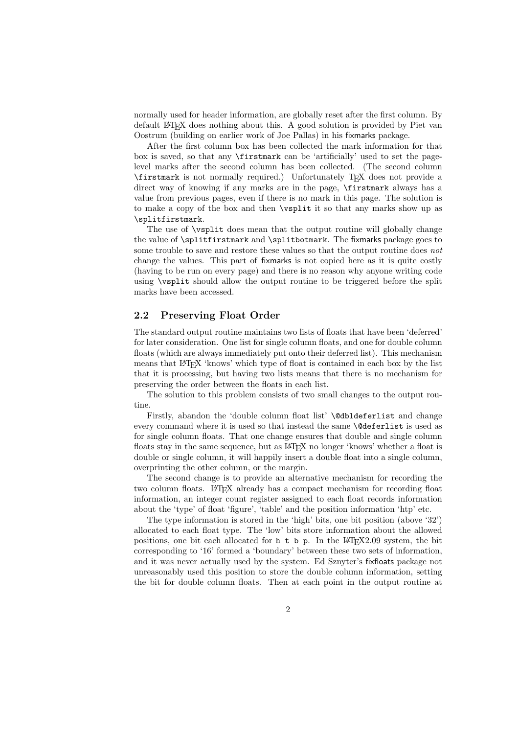normally used for header information, are globally reset after the first column. By default LATEX does nothing about this. A good solution is provided by Piet van Oostrum (building on earlier work of Joe Pallas) in his fixmarks package.

After the first column box has been collected the mark information for that box is saved, so that any \firstmark can be 'artificially' used to set the pagelevel marks after the second column has been collected. (The second column \firstmark is not normally required.) Unfortunately TEX does not provide a direct way of knowing if any marks are in the page, \firstmark always has a value from previous pages, even if there is no mark in this page. The solution is to make a copy of the box and then \vsplit it so that any marks show up as \splitfirstmark.

The use of \vsplit does mean that the output routine will globally change the value of \splitfirstmark and \splitbotmark. The fixmarks package goes to some trouble to save and restore these values so that the output routine does not change the values. This part of fixmarks is not copied here as it is quite costly (having to be run on every page) and there is no reason why anyone writing code using \vsplit should allow the output routine to be triggered before the split marks have been accessed.

#### 2.2 Preserving Float Order

The standard output routine maintains two lists of floats that have been 'deferred' for later consideration. One list for single column floats, and one for double column floats (which are always immediately put onto their deferred list). This mechanism means that LATEX 'knows' which type of float is contained in each box by the list that it is processing, but having two lists means that there is no mechanism for preserving the order between the floats in each list.

The solution to this problem consists of two small changes to the output routine.

Firstly, abandon the 'double column float list' **\@dbldeferlist** and change every command where it is used so that instead the same \@deferlist is used as for single column floats. That one change ensures that double and single column floats stay in the same sequence, but as LATEX no longer 'knows' whether a float is double or single column, it will happily insert a double float into a single column, overprinting the other column, or the margin.

The second change is to provide an alternative mechanism for recording the two column floats. LATEX already has a compact mechanism for recording float information, an integer count register assigned to each float records information about the 'type' of float 'figure', 'table' and the position information 'htp' etc.

The type information is stored in the 'high' bits, one bit position (above '32') allocated to each float type. The 'low' bits store information about the allowed positions, one bit each allocated for  $h \, t \, b \, p$ . In the LAT<sub>E</sub>X2.09 system, the bit corresponding to '16' formed a 'boundary' between these two sets of information, and it was never actually used by the system. Ed Sznyter's fixfloats package not unreasonably used this position to store the double column information, setting the bit for double column floats. Then at each point in the output routine at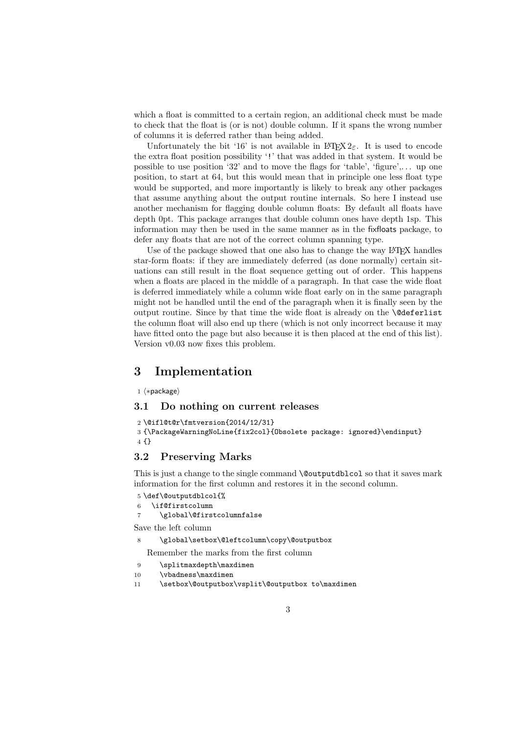which a float is committed to a certain region, an additional check must be made to check that the float is (or is not) double column. If it spans the wrong number of columns it is deferred rather than being added.

Unfortunately the bit '16' is not available in  $\mathbb{H}\mathbb{F}\times\mathbb{Z}_{\varepsilon}$ . It is used to encode the extra float position possibility '!' that was added in that system. It would be possible to use position '32' and to move the flags for 'table', 'figure',... up one position, to start at 64, but this would mean that in principle one less float type would be supported, and more importantly is likely to break any other packages that assume anything about the output routine internals. So here I instead use another mechanism for flagging double column floats: By default all floats have depth 0pt. This package arranges that double column ones have depth 1sp. This information may then be used in the same manner as in the fixfloats package, to defer any floats that are not of the correct column spanning type.

Use of the package showed that one also has to change the way IATEX handles star-form floats: if they are immediately deferred (as done normally) certain situations can still result in the float sequence getting out of order. This happens when a floats are placed in the middle of a paragraph. In that case the wide float is deferred immediately while a column wide float early on in the same paragraph might not be handled until the end of the paragraph when it is finally seen by the output routine. Since by that time the wide float is already on the \@deferlist the column float will also end up there (which is not only incorrect because it may have fitted onto the page but also because it is then placed at the end of this list). Version v0.03 now fixes this problem.

### 3 Implementation

1 (\*package)

#### 3.1 Do nothing on current releases

```
2 \@ifl@t@r\fmtversion{2014/12/31}
3 {\PackageWarningNoLine{fix2col}{Obsolete package: ignored}\endinput}
4 {}
```
### 3.2 Preserving Marks

This is just a change to the single command \@outputdblcol so that it saves mark information for the first column and restores it in the second column.

```
5 \def\@outputdblcol{%
```
6 \if@firstcolumn

```
7 \global\@firstcolumnfalse
```
Save the left column

```
\global\setbox\@leftcolumn\copy\@outputbox
```
Remember the marks from the first column

- 9 \splitmaxdepth\maxdimen
- 10 \vbadness\maxdimen
- 11 \setbox\@outputbox\vsplit\@outputbox to\maxdimen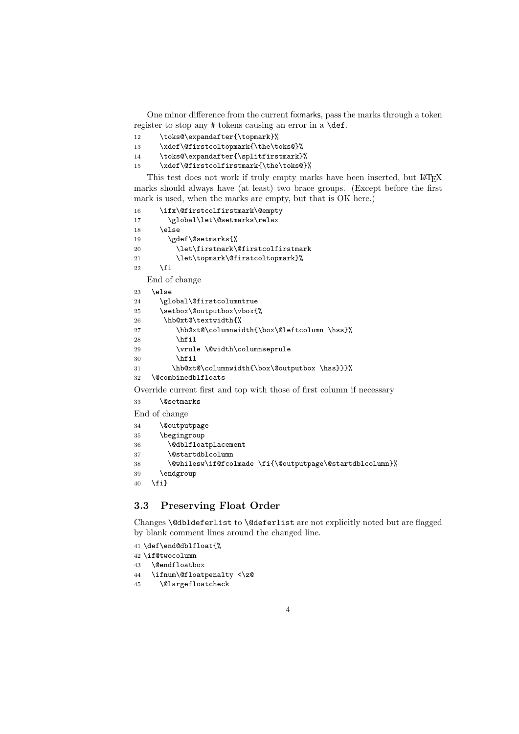One minor difference from the current fixmarks, pass the marks through a token register to stop any # tokens causing an error in a \def.

- 12 \toks@\expandafter{\topmark}%
- 13 \xdef\@firstcoltopmark{\the\toks@}%
- 14 \toks@\expandafter{\splitfirstmark}%
- 15 \xdef\@firstcolfirstmark{\the\toks@}%

This test does not work if truly empty marks have been inserted, but LATEX marks should always have (at least) two brace groups. (Except before the first mark is used, when the marks are empty, but that is OK here.)

```
16 \ifx\@firstcolfirstmark\@empty
17 \global\let\@setmarks\relax
18 \else
19 \gdef\@setmarks{%
20 \let\firstmark\@firstcolfirstmark
21 \let\topmark\@firstcoltopmark}%
22 \times 1End of change
23 \else
24 \global\@firstcolumntrue
25 \setbox\@outputbox\vbox{%
26 \hb@xt@\textwidth{%
27 \hb@xt@\columnwidth{\box\@leftcolumn \hss}%
28 \hfil
29 \vrule \@width\columnseprule
30 \quad \text{hfil}31 \hb@xt@\columnwidth{\box\@outputbox \hss}}}%
32 \@combinedblfloats
Override current first and top with those of first column if necessary
33 \@setmarks
End of change
34 \@outputpage
```

```
35 \begingroup
36 \@dblfloatplacement
37 \@startdblcolumn
38 \@whilesw\if@fcolmade \fi{\@outputpage\@startdblcolumn}%
39 \endgroup
40 \fi}
```
### 3.3 Preserving Float Order

Changes \@dbldeferlist to \@deferlist are not explicitly noted but are flagged by blank comment lines around the changed line.

```
41 \def\end@dblfloat{%
```

```
42 \if@twocolumn
```
43 \@endfloatbox

- 44 \ifnum\@floatpenalty <\z@
- 45 \@largefloatcheck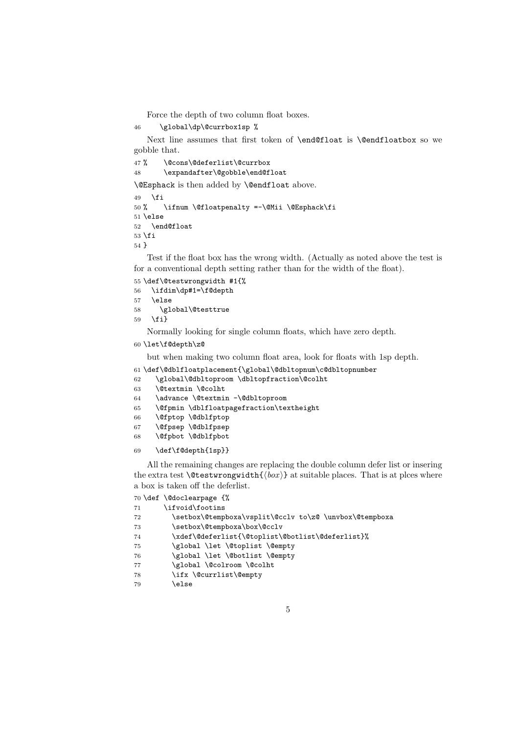Force the depth of two column float boxes.

```
46 \global\dp\@currbox1sp %
```
Next line assumes that first token of \end@float is \@endfloatbox so we gobble that.

47% \@cons\@deferlist\@currbox \expandafter\@gobble\end@float \@Esphack is then added by \@endfloat above.

 $\mathbf{f}$  % \ifnum \@floatpenalty =-\@Mii \@Esphack\fi \else \end@float  $\overline{53}$ }

Test if the float box has the wrong width. (Actually as noted above the test is for a conventional depth setting rather than for the width of the float).

 \def\@testwrongwidth #1{% \ifdim\dp#1=\f@depth \else \global\@testtrue \fi}

Normally looking for single column floats, which have zero depth.

```
60 \let\f@depth\z@
```
but when making two column float area, look for floats with 1sp depth.

- \def\@dblfloatplacement{\global\@dbltopnum\c@dbltopnumber
- \global\@dbltoproom \dbltopfraction\@colht
- \@textmin \@colht
- \advance \@textmin -\@dbltoproom
- \@fpmin \dblfloatpagefraction\textheight
- \@fptop \@dblfptop
- \@fpsep \@dblfpsep
- \@fpbot \@dblfpbot

#### \def\f@depth{1sp}}

All the remaining changes are replacing the double column defer list or insering the extra test  $\text{Testwrongwidth}({box)}$  at suitable places. That is at plces where a box is taken off the deferlist.

\def \@doclearpage {%

| 71 | \ifvoid\footins                                        |
|----|--------------------------------------------------------|
| 72 | \setbox\@tempboxa\vsplit\@cclv to\z@ \unvbox\@tempboxa |
| 73 | \setbox\@tempboxa\box\@cclv                            |
| 74 | \xdef\@deferlist{\@toplist\@botlist\@deferlist}%       |
| 75 | \global \let \@toplist \@empty                         |
| 76 | \global \let \@botlist \@empty                         |
| 77 | \global \@colroom \@colht                              |
| 78 | \ifx \@currlist\@empty                                 |
| 79 | \else                                                  |
|    |                                                        |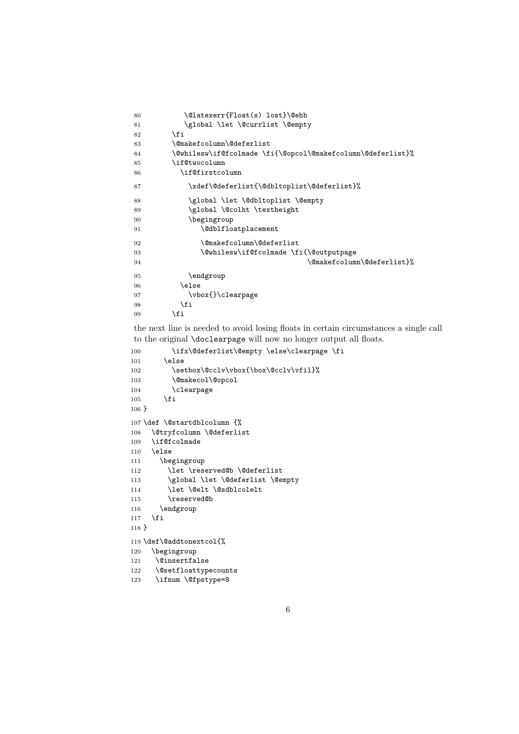```
80 \@latexerr{Float(s) lost}\@ehb
81 \global \let \@currlist \@empty
82 \fi
83 \@makefcolumn\@deferlist
84 \@whilesw\if@fcolmade \fi{\@opcol\@makefcolumn\@deferlist}%
85 \if@twocolumn
86 \if@firstcolumn
87 \xdef\@deferlist{\@dbltoplist\@deferlist}%
88 \global \let \@dbltoplist \@empty
89 \global \@colht \textheight
90 \begingroup
91 \@dblfloatplacement
92 \@makefcolumn\@deferlist
93 \@whilesw\if@fcolmade \fi{\@outputpage
94 \@makefcolumn\@deferlist}%
95 \endgroup
96 \else
97 \vbox{}\clearpage
98 \overline{11}99 \qquad \qquad \fi
```
the next line is needed to avoid losing floats in certain circumstances a single call to the original \doclearpage will now no longer output all floats.

```
100 \ifx\@deferlist\@empty \else\clearpage \fi
101 \else
102 \setbox\@cclv\vbox{\box\@cclv\vfil}%
103 \@makecol\@opcol
104 \clearpage
105 \fi
106 }
107 \def \@startdblcolumn {%
108 \@tryfcolumn \@deferlist
109 \if@fcolmade
110 \else
111 \begingroup
112 \let \reserved@b \@deferlist
113 \global \let \@deferlist \@empty
114 \let \@elt \@sdblcolelt
115 \reserved@b
116 \endgroup
117 \fi
118 }
119 \def\@addtonextcol{%
120 \begingroup
121 \@insertfalse
122 \@setfloattypecounts
```

```
123 \ifnum \@fpstype=8
```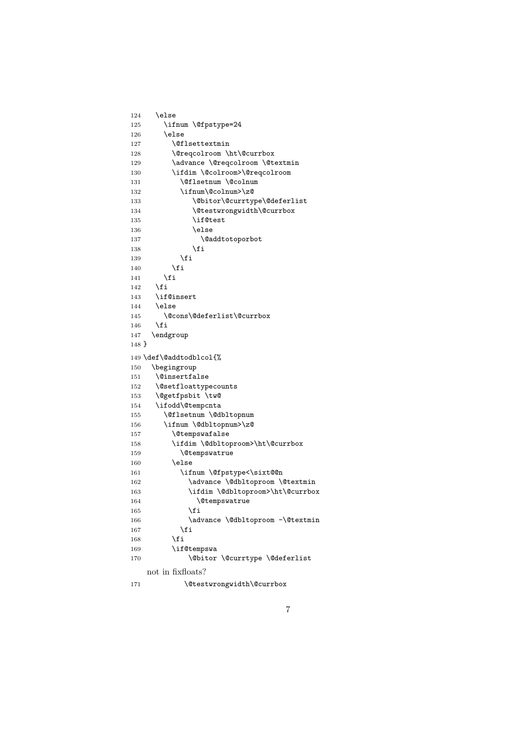```
125 \ifnum \@fpstype=24
126 \else
127 \@flsettextmin
128 \@reqcolroom \ht\@currbox
129 \advance \@reqcolroom \@textmin
130 \ifdim \@colroom>\@reqcolroom
131 \@flsetnum \@colnum
132 \ifnum\@colnum>\z@
133 \@bitor\@currtype\@deferlist
134 \@testwrongwidth\@currbox
135 \if@test
136 \else
137 \@addtotoporbot
138 \overline{f}139 \qquad \qquad \text{If }140 \qquad \qquad \fi
141 \qquad \qquad \fi
142 \fi
143 \if@insert
144 \else
145 \@cons\@deferlist\@currbox
146 \fi
147 \endgroup
148 }
149 \def\@addtodblcol{%<br>150 \begingroup
    \begingroup
151 \@insertfalse
152 \@setfloattypecounts
153 \@getfpsbit \tw@
154 \ifodd\@tempcnta
155 \@flsetnum \@dbltopnum
156 \ifnum \@dbltopnum>\z@
157 \@tempswafalse
158 \ifdim \@dbltoproom>\ht\@currbox
159 \@tempswatrue
160 \else
161 \ifnum \@fpstype<\sixt@@n
162 \dvance \@dbltoproom \@textmin
163 \ifdim \@dbltoproom>\ht\@currbox
164 \\tempswatrue
165 \overrightarrow{fi}166 \ddvance \@dbltoproom -\@textmin
167 \ifmmode\big\{\n} \fi
168 \qquad \qquad \text{ifi}169 \if@tempswa
170 \@bitor \@currtype \@deferlist
   not in fixfloats?
171 \@testwrongwidth\@currbox
```
124 \else

7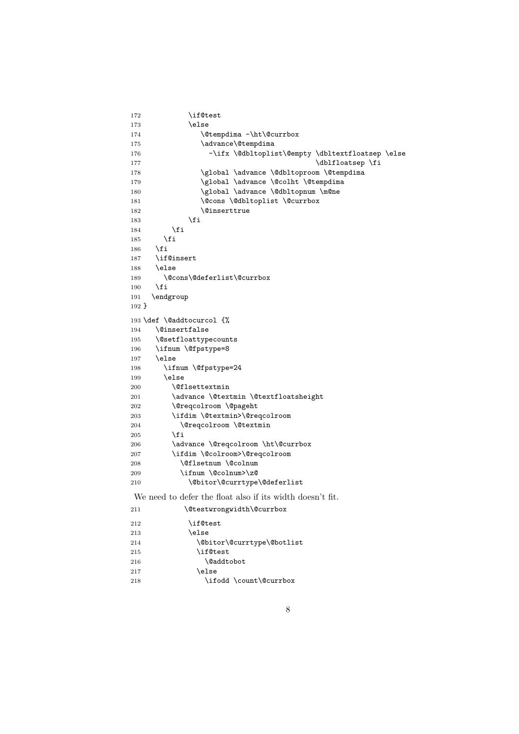```
172 \if@test
173 \else
174 \@tempdima -\ht\@currbox
175 \advance\@tempdima
176 -\ifx \@dbltoplist\@empty \dbltextfloatsep \else
177 \dblfloatsep \fi
178 \global \advance \@dbltoproom \@tempdima
179 \global \advance \@colht \@tempdima
180 \global \advance \@dbltopnum \m@ne
181 \@cons \@dbltoplist \@currbox
182 \@inserttrue
183 \overrightarrow{fi}184 \fi
185 \fi
186 \fi
187 \if@insert
188 \else
189 \@cons\@deferlist\@currbox
190 \overline{f}191 \endgroup
192 }
193 \def \@addtocurcol {%
194 \@insertfalse
195 \@setfloattypecounts
196 \ifnum \@fpstype=8
197 \else
198 \ifnum \@fpstype=24
199 \else
200 \@flsettextmin
201 \advance \@textmin \@textfloatsheight
202 \@reqcolroom \@pageht
203 \ifdim \@textmin>\@reqcolroom
204 \@reqcolroom \@textmin
205 \setminusfi
206 \ddvance \@reqcolroom \ht\@currbox
207 \ifdim \@colroom>\@reqcolroom
208 \@flsetnum \@colnum
209 \ifnum \@colnum>\z@
210 \@bitor\@currtype\@deferlist
We need to defer the float also if its width doesn't fit.
211 \@testwrongwidth\@currbox
```

| 212 | \if@test                   |
|-----|----------------------------|
| 213 | \else                      |
| 214 | \@bitor\@currtype\@botlist |
| 215 | \if@test                   |
| 216 | \@addtobot                 |
| 217 | \else                      |
| 218 | \ifodd \count\@currbox     |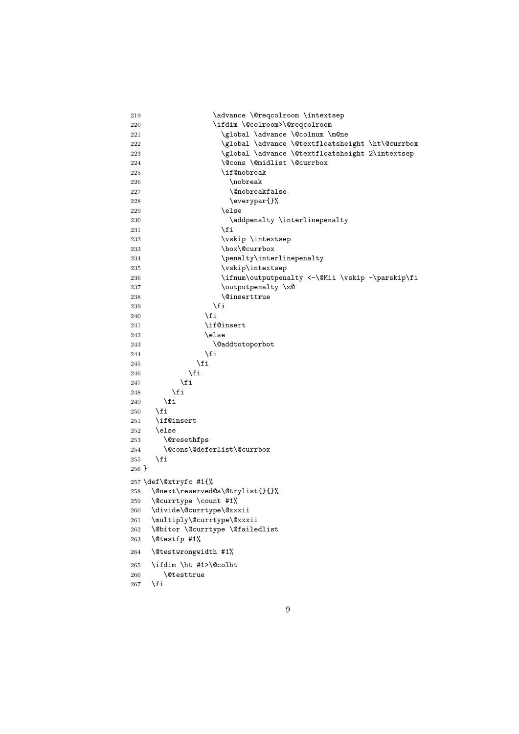```
219 \dvance \@reqcolroom \intextsep
220 \ifdim \@colroom>\@reqcolroom
221 \global \advance \@colnum \m@ne
222 \global \advance \@textfloatsheight \ht\@currbox
223 \global \advance \@textfloatsheight 2\intextsep
224 \Cons \@midlist \@currbox
225 \if@nobreak
226 \nobreak
227 \\@nobreakfalse
228 \everypar{}%
229 \qquad \qquad \text{else}230 addpenalty \interlinepenalty
231 \qquad \qquad \int f232 \vskip \intextsep
233 \box\@currbox
234 \penalty\interlinepenalty
235 \vskip\intextsep
236 \ifnum\outputpenalty <-\@Mii \vskip -\parskip\fi
237 \outputpenalty \z@
238 \@inserttrue
239 \qquad \qquad \text{if}240 \overline{\phantom{a}} \fi
241 \if@insert
242 \else
243 \@addtotoporbot
244 \qquad \qquad \int fi
245 \qquad \qquad \int fi
246 \qquad \qquad \fi
247 \fi
248 \setminusfi
249 \setminusfi
250 \fi
251 \if@insert
252 \else
253 \@resethfps
254 \@cons\@deferlist\@currbox
255 \fi
256 }
257 \def\@xtryfc #1{%
258 \@next\reserved@a\@trylist{}{}%
259 \@currtype \count #1%
260 \divide\@currtype\@xxxii
261 \multiply\@currtype\@xxxii
262 \@bitor \@currtype \@failedlist
263 \@testfp #1%
264 \@testwrongwidth #1%
265 \ifdim \ht #1>\@colht
266 \@testtrue
267 \overline{1}
```